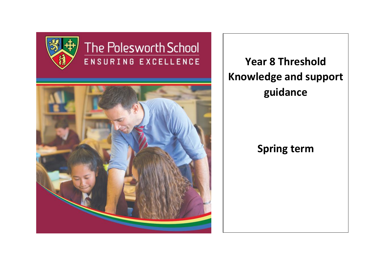

# The Polesworth School ENSURING EXCELLENCE



**Year 8 Threshold Knowledge and support guidance**

# **Spring term**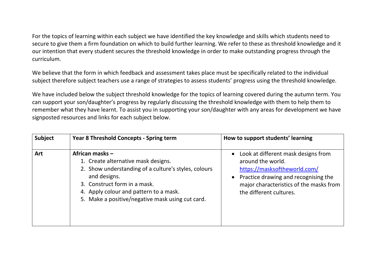For the topics of learning within each subject we have identified the key knowledge and skills which students need to secure to give them a firm foundation on which to build further learning. We refer to these as threshold knowledge and it our intention that every student secures the threshold knowledge in order to make outstanding progress through the curriculum.

We believe that the form in which feedback and assessment takes place must be specifically related to the individual subject therefore subject teachers use a range of strategies to assess students' progress using the threshold knowledge.

We have included below the subject threshold knowledge for the topics of learning covered during the autumn term. You can support your son/daughter's progress by regularly discussing the threshold knowledge with them to help them to remember what they have learnt. To assist you in supporting your son/daughter with any areas for development we have signposted resources and links for each subject below.

| <b>Subject</b> | <b>Year 8 Threshold Concepts - Spring term</b>                                                                                                                                                                                                               | How to support students' learning                                                                                                                                                                      |
|----------------|--------------------------------------------------------------------------------------------------------------------------------------------------------------------------------------------------------------------------------------------------------------|--------------------------------------------------------------------------------------------------------------------------------------------------------------------------------------------------------|
| <b>Art</b>     | African masks -<br>1. Create alternative mask designs.<br>2. Show understanding of a culture's styles, colours<br>and designs.<br>3. Construct form in a mask.<br>4. Apply colour and pattern to a mask.<br>5. Make a positive/negative mask using cut card. | Look at different mask designs from<br>around the world.<br>https://masksoftheworld.com/<br>Practice drawing and recognising the<br>major characteristics of the masks from<br>the different cultures. |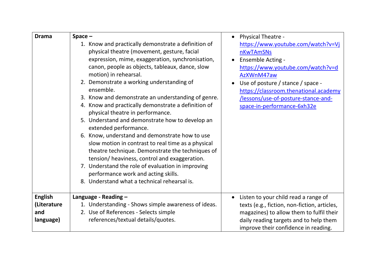| <b>Drama</b>     | $Space -$                                                                                                                                                                                                                                                                                                                                                                                                                                                                                                                                                                                                                                                                                                                                                                                                                                                                         | <b>Physical Theatre -</b>                                                                                                                                                                                                                                                   |
|------------------|-----------------------------------------------------------------------------------------------------------------------------------------------------------------------------------------------------------------------------------------------------------------------------------------------------------------------------------------------------------------------------------------------------------------------------------------------------------------------------------------------------------------------------------------------------------------------------------------------------------------------------------------------------------------------------------------------------------------------------------------------------------------------------------------------------------------------------------------------------------------------------------|-----------------------------------------------------------------------------------------------------------------------------------------------------------------------------------------------------------------------------------------------------------------------------|
|                  | 1. Know and practically demonstrate a definition of<br>physical theatre (movement, gesture, facial<br>expression, mime, exaggeration, synchronisation,<br>canon, people as objects, tableaux, dance, slow<br>motion) in rehearsal.<br>2. Demonstrate a working understanding of<br>ensemble.<br>3. Know and demonstrate an understanding of genre.<br>4. Know and practically demonstrate a definition of<br>physical theatre in performance.<br>5. Understand and demonstrate how to develop an<br>extended performance.<br>6. Know, understand and demonstrate how to use<br>slow motion in contrast to real time as a physical<br>theatre technique. Demonstrate the techniques of<br>tension/heaviness, control and exaggeration.<br>7. Understand the role of evaluation in improving<br>performance work and acting skills.<br>8. Understand what a technical rehearsal is. | https://www.youtube.com/watch?v=Vj<br>nKwTAmSNs<br>Ensemble Acting -<br>https://www.youtube.com/watch?v=d<br>AzXWnM47aw<br>Use of posture / stance / space -<br>https://classroom.thenational.academy<br>/lessons/use-of-posture-stance-and-<br>space-in-performance-6xh32e |
| <b>English</b>   | Language - Reading -                                                                                                                                                                                                                                                                                                                                                                                                                                                                                                                                                                                                                                                                                                                                                                                                                                                              | Listen to your child read a range of                                                                                                                                                                                                                                        |
| (Literature      | 1. Understanding - Shows simple awareness of ideas.                                                                                                                                                                                                                                                                                                                                                                                                                                                                                                                                                                                                                                                                                                                                                                                                                               | texts (e.g., fiction, non-fiction, articles,                                                                                                                                                                                                                                |
| and<br>language) | 2. Use of References - Selects simple<br>references/textual details/quotes.                                                                                                                                                                                                                                                                                                                                                                                                                                                                                                                                                                                                                                                                                                                                                                                                       | magazines) to allow them to fulfil their<br>daily reading targets and to help them                                                                                                                                                                                          |
|                  |                                                                                                                                                                                                                                                                                                                                                                                                                                                                                                                                                                                                                                                                                                                                                                                                                                                                                   | improve their confidence in reading.                                                                                                                                                                                                                                        |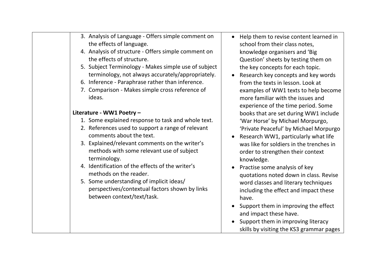| 3. Analysis of Language - Offers simple comment on<br>the effects of language.<br>4. Analysis of structure - Offers simple comment on<br>the effects of structure.<br>5. Subject Terminology - Makes simple use of subject<br>terminology, not always accurately/appropriately.<br>6. Inference - Paraphrase rather than inference.<br>7. Comparison - Makes simple cross reference of<br>ideas.<br>Literature - WW1 Poetry -                                | Help them t<br>$\bullet$<br>school from<br>knowledge o<br>Question' sh<br>the key cond<br>Research ke<br>$\bullet$<br>from the tex<br>examples of<br>more familia<br>experience o<br>books that a                                   |
|--------------------------------------------------------------------------------------------------------------------------------------------------------------------------------------------------------------------------------------------------------------------------------------------------------------------------------------------------------------------------------------------------------------------------------------------------------------|-------------------------------------------------------------------------------------------------------------------------------------------------------------------------------------------------------------------------------------|
| 1. Some explained response to task and whole text.<br>2. References used to support a range of relevant<br>comments about the text.<br>3. Explained/relevant comments on the writer's<br>methods with some relevant use of subject<br>terminology.<br>4. Identification of the effects of the writer's<br>methods on the reader.<br>5. Some understanding of implicit ideas/<br>perspectives/contextual factors shown by links<br>between context/text/task. | 'War Horse'<br>'Private Pea<br>Research W<br>was like for<br>order to stre<br>knowledge.<br>Practise son<br>quotations r<br>word classes<br>including the<br>have.<br>Support the<br>and impact t<br>Support the<br>skills by visit |

- to revise content learned in their class notes. organisers and 'Big heets by testing them on cepts for each topic.
- ey concepts and key words xts in lesson. Look at WW1 texts to help become ar with the issues and of the time period. Some are set during WW1 include by Michael Morpurgo, ceful' by Michael Morpurgo
- W1, particularly what life soldiers in the trenches in engthen their context
- me analysis of key noted down in class. Revise s and literary techniques ie effect and impact these
- em in improving the effect these have.
- em in improving literacy ting the KS3 grammar pages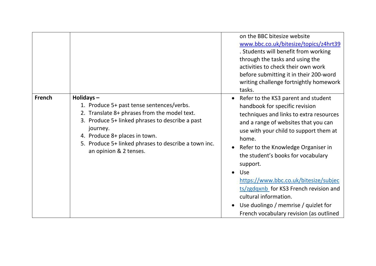|               |                                                                                                                                                                                                                                                                                          |           | on the BBC bitesize website<br>www.bbc.co.uk/bitesize/topics/z4hrt39<br>. Students will benefit from working<br>through the tasks and using the<br>activities to check their own work<br>before submitting it in their 200-word<br>writing challenge fortnightly homework<br>tasks.                                                                                                                                                                                                                        |
|---------------|------------------------------------------------------------------------------------------------------------------------------------------------------------------------------------------------------------------------------------------------------------------------------------------|-----------|------------------------------------------------------------------------------------------------------------------------------------------------------------------------------------------------------------------------------------------------------------------------------------------------------------------------------------------------------------------------------------------------------------------------------------------------------------------------------------------------------------|
| <b>French</b> | Holidays-<br>1. Produce 5+ past tense sentences/verbs.<br>2. Translate 8+ phrases from the model text.<br>3. Produce 5+ linked phrases to describe a past<br>journey.<br>4. Produce 8+ places in town.<br>5. Produce 5+ linked phrases to describe a town inc.<br>an opinion & 2 tenses. | $\bullet$ | Refer to the KS3 parent and student<br>handbook for specific revision<br>techniques and links to extra resources<br>and a range of websites that you can<br>use with your child to support them at<br>home.<br>Refer to the Knowledge Organiser in<br>the student's books for vocabulary<br>support.<br>Use<br>https://www.bbc.co.uk/bitesize/subjec<br>ts/zgdqxnb for KS3 French revision and<br>cultural information.<br>Use duolingo / memrise / quizlet for<br>French vocabulary revision (as outlined |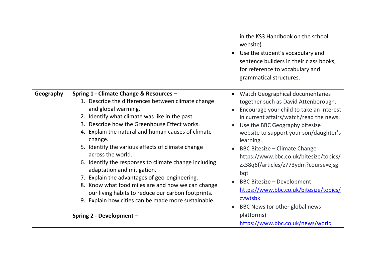|           |                                                                                                                                                                                                                                                                                                                                                                                                                                                                                                                                                                                                                                                                                                         | in the KS3 Handbook on the school<br>website).<br>Use the student's vocabulary and<br>sentence builders in their class books,<br>for reference to vocabulary and<br>grammatical structures.                                                                                                                                                                                                                                                                                                                                                                             |
|-----------|---------------------------------------------------------------------------------------------------------------------------------------------------------------------------------------------------------------------------------------------------------------------------------------------------------------------------------------------------------------------------------------------------------------------------------------------------------------------------------------------------------------------------------------------------------------------------------------------------------------------------------------------------------------------------------------------------------|-------------------------------------------------------------------------------------------------------------------------------------------------------------------------------------------------------------------------------------------------------------------------------------------------------------------------------------------------------------------------------------------------------------------------------------------------------------------------------------------------------------------------------------------------------------------------|
| Geography | Spring 1 - Climate Change & Resources -<br>1. Describe the differences between climate change<br>and global warming.<br>2. Identify what climate was like in the past.<br>3. Describe how the Greenhouse Effect works.<br>4. Explain the natural and human causes of climate<br>change.<br>5. Identify the various effects of climate change<br>across the world.<br>6. Identify the responses to climate change including<br>adaptation and mitigation.<br>7. Explain the advantages of geo-engineering.<br>8. Know what food miles are and how we can change<br>our living habits to reduce our carbon footprints.<br>9. Explain how cities can be made more sustainable.<br>Spring 2 - Development - | Watch Geographical documentaries<br>together such as David Attenborough.<br>Encourage your child to take an interest<br>in current affairs/watch/read the news.<br>Use the BBC Geography bitesize<br>website to support your son/daughter's<br>learning.<br><b>BBC Bitesize - Climate Change</b><br>https://www.bbc.co.uk/bitesize/topics/<br>zx38q6f/articles/z773ydm?course=zjsg<br>bqt<br><b>BBC Bitesize - Development</b><br>https://www.bbc.co.uk/bitesize/topics/<br>zvwtsbk<br>BBC News (or other global news<br>platforms)<br>https://www.bbc.co.uk/news/world |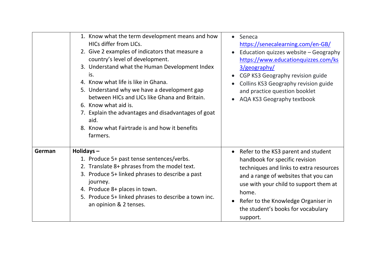|        | 1. Know what the term development means and how<br>HICs differ from LICs.<br>2. Give 2 examples of indicators that measure a<br>country's level of development.<br>3. Understand what the Human Development Index<br>is.<br>4. Know what life is like in Ghana.<br>5. Understand why we have a development gap<br>between HICs and LICs like Ghana and Britain.<br>6. Know what aid is.<br>7. Explain the advantages and disadvantages of goat<br>aid.<br>8. Know what Fairtrade is and how it benefits<br>farmers. | Seneca<br>$\bullet$<br>https://senecalearning.com/en-GB/<br>Education quizzes website - Geography<br>https://www.educationquizzes.com/ks<br>3/geography/<br>CGP KS3 Geography revision guide<br>Collins KS3 Geography revision guide<br>and practice question booklet<br>AQA KS3 Geography textbook  |
|--------|---------------------------------------------------------------------------------------------------------------------------------------------------------------------------------------------------------------------------------------------------------------------------------------------------------------------------------------------------------------------------------------------------------------------------------------------------------------------------------------------------------------------|------------------------------------------------------------------------------------------------------------------------------------------------------------------------------------------------------------------------------------------------------------------------------------------------------|
| German | Holidays-<br>1. Produce 5+ past tense sentences/verbs.<br>2. Translate 8+ phrases from the model text.<br>3. Produce 5+ linked phrases to describe a past<br>journey.<br>4. Produce 8+ places in town.<br>5. Produce 5+ linked phrases to describe a town inc.<br>an opinion & 2 tenses.                                                                                                                                                                                                                            | Refer to the KS3 parent and student<br>handbook for specific revision<br>techniques and links to extra resources<br>and a range of websites that you can<br>use with your child to support them at<br>home.<br>Refer to the Knowledge Organiser in<br>the student's books for vocabulary<br>support. |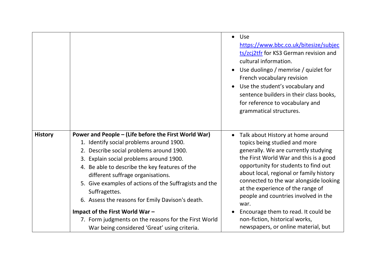|                |                                                                                                                                                                                                                                                                                                                                                                                                                                                                                                                                                          | $\bullet$ | <b>Use</b><br>https://www.bbc.co.uk/bitesize/subjec<br>ts/zcj2tfr for KS3 German revision and<br>cultural information.<br>Use duolingo / memrise / quizlet for<br>French vocabulary revision<br>Use the student's vocabulary and<br>sentence builders in their class books,<br>for reference to vocabulary and<br>grammatical structures.                                                                                                                                              |
|----------------|----------------------------------------------------------------------------------------------------------------------------------------------------------------------------------------------------------------------------------------------------------------------------------------------------------------------------------------------------------------------------------------------------------------------------------------------------------------------------------------------------------------------------------------------------------|-----------|----------------------------------------------------------------------------------------------------------------------------------------------------------------------------------------------------------------------------------------------------------------------------------------------------------------------------------------------------------------------------------------------------------------------------------------------------------------------------------------|
| <b>History</b> | Power and People – (Life before the First World War)<br>1. Identify social problems around 1900.<br>2. Describe social problems around 1900.<br>3. Explain social problems around 1900.<br>4. Be able to describe the key features of the<br>different suffrage organisations.<br>5. Give examples of actions of the Suffragists and the<br>Suffragettes.<br>6. Assess the reasons for Emily Davison's death.<br>Impact of the First World War -<br>7. Form judgments on the reasons for the First World<br>War being considered 'Great' using criteria. | $\bullet$ | Talk about History at home around<br>topics being studied and more<br>generally. We are currently studying<br>the First World War and this is a good<br>opportunity for students to find out<br>about local, regional or family history<br>connected to the war alongside looking<br>at the experience of the range of<br>people and countries involved in the<br>war.<br>Encourage them to read. It could be<br>non-fiction, historical works,<br>newspapers, or online material, but |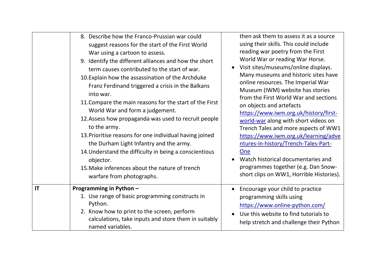|    | 8. Describe how the Franco-Prussian war could<br>suggest reasons for the start of the First World<br>War using a cartoon to assess.<br>9. Identify the different alliances and how the short<br>term causes contributed to the start of war.<br>10. Explain how the assassination of the Archduke<br>Franz Ferdinand triggered a crisis in the Balkans<br>into war.<br>11. Compare the main reasons for the start of the First<br>World War and form a judgement.<br>12. Assess how propaganda was used to recruit people<br>to the army.<br>13. Prioritise reasons for one individual having joined<br>the Durham Light Infantry and the army.<br>14. Understand the difficulty in being a conscientious<br>objector.<br>15. Make inferences about the nature of trench<br>warfare from photographs. | then ask them to assess it as a source<br>using their skills. This could include<br>reading war poetry from the First<br>World War or reading War Horse.<br>Visit sites/museums/online displays.<br>Many museums and historic sites have<br>online resources. The Imperial War<br>Museum (IWM) website has stories<br>from the First World War and sections<br>on objects and artefacts<br>https://www.iwm.org.uk/history/first-<br>world-war along with short videos on<br>Trench Tales and more aspects of WW1<br>https://www.iwm.org.uk/learning/adve<br>ntures-in-history/Trench-Tales-Part-<br>One<br>Watch historical documentaries and<br>programmes together (e.g. Dan Snow-<br>short clips on WW1, Horrible Histories). |
|----|-------------------------------------------------------------------------------------------------------------------------------------------------------------------------------------------------------------------------------------------------------------------------------------------------------------------------------------------------------------------------------------------------------------------------------------------------------------------------------------------------------------------------------------------------------------------------------------------------------------------------------------------------------------------------------------------------------------------------------------------------------------------------------------------------------|----------------------------------------------------------------------------------------------------------------------------------------------------------------------------------------------------------------------------------------------------------------------------------------------------------------------------------------------------------------------------------------------------------------------------------------------------------------------------------------------------------------------------------------------------------------------------------------------------------------------------------------------------------------------------------------------------------------------------------|
| IT | Programming in Python -<br>1. Use range of basic programming constructs in<br>Python.<br>2. Know how to print to the screen, perform<br>calculations, take inputs and store them in suitably<br>named variables.                                                                                                                                                                                                                                                                                                                                                                                                                                                                                                                                                                                      | Encourage your child to practice<br>programming skills using<br>https://www.online-python.com/<br>Use this website to find tutorials to<br>help stretch and challenge their Python                                                                                                                                                                                                                                                                                                                                                                                                                                                                                                                                               |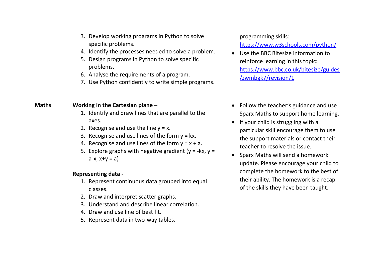|              | 3. Develop working programs in Python to solve<br>specific problems.<br>4. Identify the processes needed to solve a problem.<br>Design programs in Python to solve specific<br>5.<br>problems.<br>6. Analyse the requirements of a program.<br>7. Use Python confidently to write simple programs.                                                                                                                                                                                                                                                                                                                 | programming skills:<br>https://www.w3schools.com/python/<br>Use the BBC Bitesize information to<br>reinforce learning in this topic:<br>https://www.bbc.co.uk/bitesize/guides<br>/zwmbgk7/revision/1                                                                                                                                                                                                                                              |
|--------------|--------------------------------------------------------------------------------------------------------------------------------------------------------------------------------------------------------------------------------------------------------------------------------------------------------------------------------------------------------------------------------------------------------------------------------------------------------------------------------------------------------------------------------------------------------------------------------------------------------------------|---------------------------------------------------------------------------------------------------------------------------------------------------------------------------------------------------------------------------------------------------------------------------------------------------------------------------------------------------------------------------------------------------------------------------------------------------|
| <b>Maths</b> | Working in the Cartesian plane -<br>1. Identify and draw lines that are parallel to the<br>axes.<br>2. Recognise and use the line $y = x$ .<br>3. Recognise and use lines of the form $y = kx$ .<br>4. Recognise and use lines of the form $y = x + a$ .<br>Explore graphs with negative gradient ( $y = -kx$ , $y =$<br>5.<br>$a-x, x+y = a$<br><b>Representing data -</b><br>1. Represent continuous data grouped into equal<br>classes.<br>2. Draw and interpret scatter graphs.<br>3. Understand and describe linear correlation.<br>4. Draw and use line of best fit.<br>5. Represent data in two-way tables. | Follow the teacher's guidance and use<br>Sparx Maths to support home learning.<br>If your child is struggling with a<br>particular skill encourage them to use<br>the support materials or contact their<br>teacher to resolve the issue.<br>Sparx Maths will send a homework<br>update. Please encourage your child to<br>complete the homework to the best of<br>their ability. The homework is a recap<br>of the skills they have been taught. |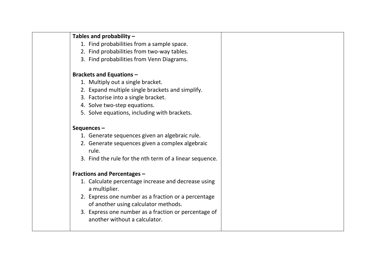- 1. Find probabilities from a sample space.
- 2. Find probabilities from two-way tables.
- 3. Find probabilities from Venn Diagrams.

#### **Brackets and Equations –**

- 1. Multiply out a single bracket.
- 2. Expand multiple single brackets and simplify.
- 3. Factorise into a single bracket.
- 4. Solve two-step equations.
- 5. Solve equations, including with brackets.

#### **Sequences –**

- 1. Generate sequences given an algebraic rule.
- 2. Generate sequences given a complex algebraic rule.
- 3. Find the rule for the nth term of a linear sequence.

#### **Fractions and Percentages –**

- 1. Calculate percentage increase and decrease using a multiplier.
- 2. Express one number as a fraction or a percentage of another using calculator methods.
- 3. Express one number as a fraction or percentage of another without a calculator.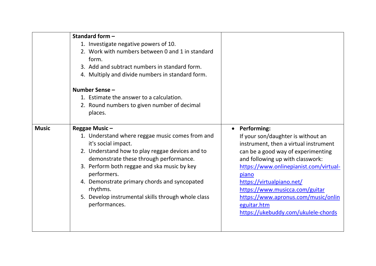|              | Standard form -<br>1. Investigate negative powers of 10.<br>2. Work with numbers between 0 and 1 in standard<br>form.<br>3. Add and subtract numbers in standard form.<br>4. Multiply and divide numbers in standard form.<br>Number Sense -<br>1. Estimate the answer to a calculation.<br>2. Round numbers to given number of decimal                                               |                                                                                                                                                                                                                                                                                                                                                                                            |
|--------------|---------------------------------------------------------------------------------------------------------------------------------------------------------------------------------------------------------------------------------------------------------------------------------------------------------------------------------------------------------------------------------------|--------------------------------------------------------------------------------------------------------------------------------------------------------------------------------------------------------------------------------------------------------------------------------------------------------------------------------------------------------------------------------------------|
|              | places.                                                                                                                                                                                                                                                                                                                                                                               |                                                                                                                                                                                                                                                                                                                                                                                            |
| <b>Music</b> | Reggae Music-<br>1. Understand where reggae music comes from and<br>it's social impact.<br>2. Understand how to play reggae devices and to<br>demonstrate these through performance.<br>3. Perform both reggae and ska music by key<br>performers.<br>4. Demonstrate primary chords and syncopated<br>rhythms.<br>5. Develop instrumental skills through whole class<br>performances. | <b>Performing:</b><br>If your son/daughter is without an<br>instrument, then a virtual instrument<br>can be a good way of experimenting<br>and following up with classwork:<br>https://www.onlinepianist.com/virtual-<br>piano<br>https://virtualpiano.net/<br>https://www.musicca.com/guitar<br>https://www.apronus.com/music/onlin<br>eguitar.htm<br>https://ukebuddy.com/ukulele-chords |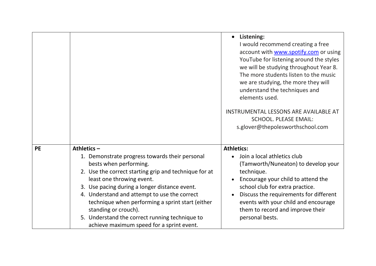|           |                                                                                                                                                                                                                                                                                                                                                                                                                                                             | Listening:<br>I would recommend creating a free<br>account with www.spotify.com or using<br>YouTube for listening around the styles<br>we will be studying throughout Year 8.<br>The more students listen to the music<br>we are studying, the more they will<br>understand the techniques and<br>elements used.        |
|-----------|-------------------------------------------------------------------------------------------------------------------------------------------------------------------------------------------------------------------------------------------------------------------------------------------------------------------------------------------------------------------------------------------------------------------------------------------------------------|-------------------------------------------------------------------------------------------------------------------------------------------------------------------------------------------------------------------------------------------------------------------------------------------------------------------------|
|           |                                                                                                                                                                                                                                                                                                                                                                                                                                                             | INSTRUMENTAL LESSONS ARE AVAILABLE AT<br><b>SCHOOL. PLEASE EMAIL:</b><br>s.glover@thepolesworthschool.com                                                                                                                                                                                                               |
| <b>PE</b> | Athletics $-$<br>1. Demonstrate progress towards their personal<br>bests when performing.<br>2. Use the correct starting grip and technique for at<br>least one throwing event.<br>3. Use pacing during a longer distance event.<br>4. Understand and attempt to use the correct<br>technique when performing a sprint start (either<br>standing or crouch).<br>5. Understand the correct running technique to<br>achieve maximum speed for a sprint event. | <b>Athletics:</b><br>Join a local athletics club<br>(Tamworth/Nuneaton) to develop your<br>technique.<br>Encourage your child to attend the<br>school club for extra practice.<br>Discuss the requirements for different<br>events with your child and encourage<br>them to record and improve their<br>personal bests. |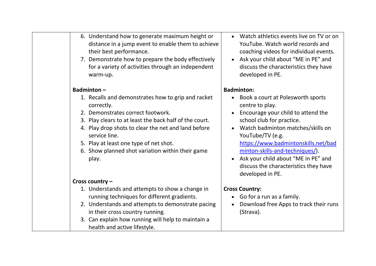| 6. Understand how to generate maximum height or<br>distance in a jump event to enable them to achieve<br>their best performance.<br>7. Demonstrate how to prepare the body effectively<br>for a variety of activities through an independent<br>warm-up.                                                                                       | Watch athletics events live on TV or on<br>YouTube. Watch world records and<br>coaching videos for individual events.<br>Ask your child about "ME in PE" and<br>$\bullet$<br>discuss the characteristics they have<br>developed in PE.                                                                                                                                                                |
|------------------------------------------------------------------------------------------------------------------------------------------------------------------------------------------------------------------------------------------------------------------------------------------------------------------------------------------------|-------------------------------------------------------------------------------------------------------------------------------------------------------------------------------------------------------------------------------------------------------------------------------------------------------------------------------------------------------------------------------------------------------|
| Badminton $-$                                                                                                                                                                                                                                                                                                                                  | <b>Badminton:</b>                                                                                                                                                                                                                                                                                                                                                                                     |
| 1. Recalls and demonstrates how to grip and racket<br>correctly.<br>2. Demonstrates correct footwork.<br>3. Play clears to at least the back half of the court.<br>4. Play drop shots to clear the net and land before<br>service line.<br>5. Play at least one type of net shot.<br>6. Show planned shot variation within their game<br>play. | Book a court at Polesworth sports<br>centre to play.<br>Encourage your child to attend the<br>$\bullet$<br>school club for practice.<br>Watch badminton matches/skills on<br>$\bullet$<br>YouTube/TV (e.g.<br>https://www.badmintonskills.net/bad<br>minton-skills-and-techniques/).<br>Ask your child about "ME in PE" and<br>$\bullet$<br>discuss the characteristics they have<br>developed in PE. |
| Cross country -                                                                                                                                                                                                                                                                                                                                |                                                                                                                                                                                                                                                                                                                                                                                                       |
| 1. Understands and attempts to show a change in<br>running techniques for different gradients.<br>2. Understands and attempts to demonstrate pacing                                                                                                                                                                                            | <b>Cross Country:</b><br>Go for a run as a family.<br>$\bullet$<br>Download free Apps to track their runs<br>$\bullet$                                                                                                                                                                                                                                                                                |
| in their cross country running.                                                                                                                                                                                                                                                                                                                | (Strava).                                                                                                                                                                                                                                                                                                                                                                                             |
| 3. Can explain how running will help to maintain a<br>health and active lifestyle.                                                                                                                                                                                                                                                             |                                                                                                                                                                                                                                                                                                                                                                                                       |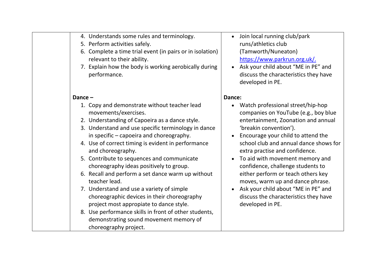|  | 4. Understands some rules and terminology. |  |  |
|--|--------------------------------------------|--|--|
|--|--------------------------------------------|--|--|

- 5. Perform activities safely.
- 6. Complete a time trial event (in pairs or in isolation) relevant to their ability.
- 7. Explain how the body is working aerobically during performance.

#### **Dance –**

- 1. Copy and demonstrate without teacher lead movements/exercises.
- 2. Understanding of Capoeira as a dance style.
- 3. Understand and use specific terminology in dance in specific – capoeira and choreography.
- 4. Use of correct timing is evident in performance and choreography.
- 5. Contribute to sequences and communicate choreography ideas positively to group.
- 6. Recall and perform a set dance warm up without teacher lead.
- 7. Understand and use a variety of simple choreographic devices in their choreography project most appropiate to dance style.
- 8. Use performance skills in front of other students, demonstrating sound movement memory of choreography project.
- Join local running club/park runs/athletics club (Tamworth/Nuneaton) [https://www.parkrun.org.uk/.](https://www.parkrun.org.uk/)
- Ask your child about "ME in PE" and discuss the characteristics they have developed in PE.

#### **Dance:**

- Watch professional street/hip-hop companies on YouTube (e.g., boy blue entertainment, Zoonation and annual 'breakin convention').
- Encourage your child to attend the school club and annual dance shows for extra practise and confidence.
- To aid with movement memory and confidence, challenge students to either perform or teach others key moves, warm up and dance phrase.
- Ask your child about "ME in PE" and discuss the characteristics they have developed in PE.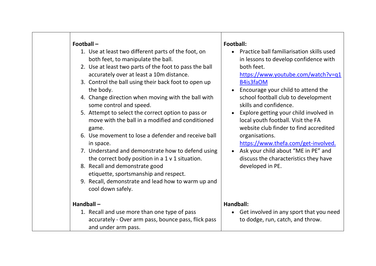| Football-<br>1. Use at least two different parts of the foot, on<br>both feet, to manipulate the ball.<br>2. Use at least two parts of the foot to pass the ball<br>accurately over at least a 10m distance.<br>3. Control the ball using their back foot to open up<br>the body.<br>4. Change direction when moving with the ball with<br>some control and speed.<br>5. Attempt to select the correct option to pass or<br>move with the ball in a modified and conditioned<br>game.<br>6. Use movement to lose a defender and receive ball<br>in space.<br>7. Understand and demonstrate how to defend using<br>the correct body position in a 1 v 1 situation.<br>8. Recall and demonstrate good<br>etiquette, sportsmanship and respect.<br>9. Recall, demonstrate and lead how to warm up and<br>cool down safely. | Football:<br>Practice ball familiarisation skills used<br>in lessons to develop confidence with<br>both feet.<br>https://www.youtube.com/watch?v=q1<br>B4is3faOM<br>• Encourage your child to attend the<br>school football club to development<br>skills and confidence.<br>Explore getting your child involved in<br>local youth football. Visit the FA<br>website club finder to find accredited<br>organisations.<br>https://www.thefa.com/get-involved.<br>Ask your child about "ME in PE" and<br>discuss the characteristics they have<br>developed in PE. |
|-------------------------------------------------------------------------------------------------------------------------------------------------------------------------------------------------------------------------------------------------------------------------------------------------------------------------------------------------------------------------------------------------------------------------------------------------------------------------------------------------------------------------------------------------------------------------------------------------------------------------------------------------------------------------------------------------------------------------------------------------------------------------------------------------------------------------|------------------------------------------------------------------------------------------------------------------------------------------------------------------------------------------------------------------------------------------------------------------------------------------------------------------------------------------------------------------------------------------------------------------------------------------------------------------------------------------------------------------------------------------------------------------|
| Handball-<br>1. Recall and use more than one type of pass<br>accurately - Over arm pass, bounce pass, flick pass<br>and under arm pass.                                                                                                                                                                                                                                                                                                                                                                                                                                                                                                                                                                                                                                                                                 | Handball:<br>• Get involved in any sport that you need<br>to dodge, run, catch, and throw.                                                                                                                                                                                                                                                                                                                                                                                                                                                                       |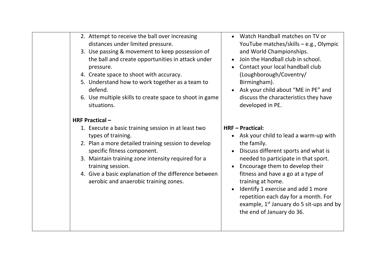|  | 2. Attempt to receive the ball over increasing |
|--|------------------------------------------------|
|  | distances under limited pressure.              |
|  | 2 Use nossing 0 mousement to know nossassion.  |

- 3. Use passing & movement to keep possession of the ball and create opportunities in attack under pressure.
- 4. Create space to shoot with accuracy.
- 5. Understand how to work together as a team to defend.
- 6. Use multiple skills to create space to shoot in game situations.

### **HRF Practical –**

- 1. Execute a basic training session in at least two types of training.
- 2. Plan a more detailed training session to develop specific fitness component.
- 3. Maintain training zone intensity required for a training session.
- 4. Give a basic explanation of the difference between aerobic and anaerobic training zones.
- Watch Handball matches on TV or YouTube matches/skills – e.g., Olympic and World Championships.
- Join the Handball club in school.
- Contact your local handball club (Loughborough/Coventry/ Birmingham).
- Ask your child about "ME in PE" and discuss the characteristics they have developed in PE.

# **HRF – Practical:**

- Ask your child to lead a warm-up with the family.
- Discuss different sports and what is needed to participate in that sport.
- Encourage them to develop their fitness and have a go at a type of training at home.
- Identify 1 exercise and add 1 more repetition each day for a month. For example,  $1<sup>st</sup>$  January do 5 sit-ups and by the end of January do 36.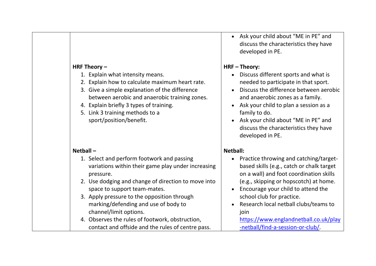#### **HRF Theory –**

- 1. Explain what intensity means.
- 2. Explain how to calculate maximum heart rate.
- 3. Give a simple explanation of the difference between aerobic and anaerobic training zones.
- 4. Explain briefly 3 types of training.
- 5. Link 3 training methods to a sport/position/benefit.

#### **Netball –**

- 1. Select and perform footwork and passing variations within their game play under increasing pressure.
- 2. Use dodging and change of direction to move into space to support team-mates.
- 3. Apply pressure to the opposition through marking/defending and use of body to channel/limit options.
- 4. Observes the rules of footwork, obstruction, contact and offside and the rules of centre pass.

• Ask your child about "ME in PE" and discuss the characteristics they have developed in PE.

## **HRF – Theory:**

- Discuss different sports and what is needed to participate in that sport.
- Discuss the difference between aerobic and anaerobic zones as a family.
- Ask your child to plan a session as a family to do.
- Ask your child about "ME in PE" and discuss the characteristics they have developed in PE.

# **Netball:**

- Practice throwing and catching/targetbased skills (e.g., catch or chalk target on a wall) and foot coordination skills (e.g., skipping or hopscotch) at home.
- Encourage your child to attend the school club for practice.
- Research local netball clubs/teams to join

[https://www.englandnetball.co.uk/play](https://www.englandnetball.co.uk/play-netball/find-a-session-or-club/) [-netball/find-a-session-or-club/.](https://www.englandnetball.co.uk/play-netball/find-a-session-or-club/)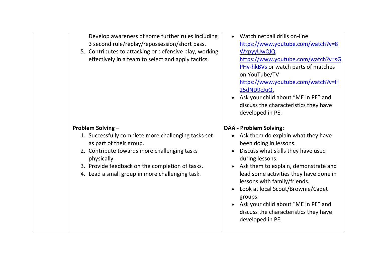| Develop awareness of some further rules including<br>3 second rule/replay/repossession/short pass.<br>5. Contributes to attacking or defensive play, working<br>effectively in a team to select and apply tactics.                                                              | Watch netball drills on-line<br>https://www.youtube.com/watch?v=8<br>WxpyyUwQIQ<br>https://www.youtube.com/watch?v=sG<br>PHv-hkBVs or watch parts of matches<br>on YouTube/TV                                                                                                                                                                                                                                                                 |
|---------------------------------------------------------------------------------------------------------------------------------------------------------------------------------------------------------------------------------------------------------------------------------|-----------------------------------------------------------------------------------------------------------------------------------------------------------------------------------------------------------------------------------------------------------------------------------------------------------------------------------------------------------------------------------------------------------------------------------------------|
|                                                                                                                                                                                                                                                                                 | https://www.youtube.com/watch?v=H<br>25dND9cJuQ.<br>• Ask your child about "ME in PE" and<br>discuss the characteristics they have<br>developed in PE.                                                                                                                                                                                                                                                                                        |
| <b>Problem Solving -</b><br>1. Successfully complete more challenging tasks set<br>as part of their group.<br>2. Contribute towards more challenging tasks<br>physically.<br>3. Provide feedback on the completion of tasks.<br>4. Lead a small group in more challenging task. | <b>OAA - Problem Solving:</b><br>• Ask them do explain what they have<br>been doing in lessons.<br>Discuss what skills they have used<br>during lessons.<br>Ask them to explain, demonstrate and<br>$\bullet$<br>lead some activities they have done in<br>lessons with family/friends.<br>Look at local Scout/Brownie/Cadet<br>groups.<br>• Ask your child about "ME in PE" and<br>discuss the characteristics they have<br>developed in PE. |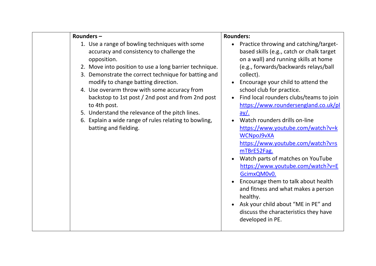| Rounders-                                                                                                                                                                                                                                                                                                                                                                                                                                                                                                                     | <b>Rounders:</b>                                                                                                                                                                                                                                                                                                                                                                                                                                                                                                                                                                                                                                                                                                                                                                            |
|-------------------------------------------------------------------------------------------------------------------------------------------------------------------------------------------------------------------------------------------------------------------------------------------------------------------------------------------------------------------------------------------------------------------------------------------------------------------------------------------------------------------------------|---------------------------------------------------------------------------------------------------------------------------------------------------------------------------------------------------------------------------------------------------------------------------------------------------------------------------------------------------------------------------------------------------------------------------------------------------------------------------------------------------------------------------------------------------------------------------------------------------------------------------------------------------------------------------------------------------------------------------------------------------------------------------------------------|
| 1. Use a range of bowling techniques with some<br>accuracy and consistency to challenge the<br>opposition.<br>2. Move into position to use a long barrier technique.<br>3. Demonstrate the correct technique for batting and<br>modify to change batting direction.<br>4. Use overarm throw with some accuracy from<br>backstop to 1st post / 2nd post and from 2nd post<br>to 4th post.<br>5. Understand the relevance of the pitch lines.<br>6. Explain a wide range of rules relating to bowling,<br>batting and fielding. | • Practice throwing and catching/target-<br>based skills (e.g., catch or chalk target<br>on a wall) and running skills at home<br>(e.g., forwards/backwards relays/ball<br>collect).<br>Encourage your child to attend the<br>school club for practice.<br>Find local rounders clubs/teams to join<br>https://www.roundersengland.co.uk/pl<br>$ay/$ .<br>Watch rounders drills on-line<br>https://www.youtube.com/watch?v=k<br><b>WCNpoJ9vXA</b><br>https://www.youtube.com/watch?v=s<br>mTBrE52Fag.<br>Watch parts of matches on YouTube<br>https://www.youtube.com/watch?v=E<br>GcimxQM0v0.<br>Encourage them to talk about health<br>and fitness and what makes a person<br>healthy.<br>Ask your child about "ME in PE" and<br>discuss the characteristics they have<br>developed in PE. |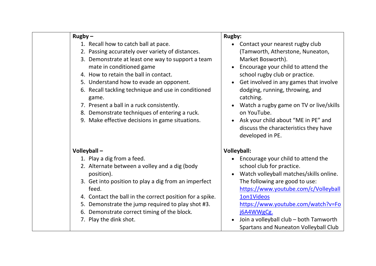| $Rugby -$                                                                                                                                                                                                                                                                                                                                                                                                                                                                      | <b>Rugby:</b>                                                                                                                                                                                                                                                                                                                                                                                                            |
|--------------------------------------------------------------------------------------------------------------------------------------------------------------------------------------------------------------------------------------------------------------------------------------------------------------------------------------------------------------------------------------------------------------------------------------------------------------------------------|--------------------------------------------------------------------------------------------------------------------------------------------------------------------------------------------------------------------------------------------------------------------------------------------------------------------------------------------------------------------------------------------------------------------------|
| 1. Recall how to catch ball at pace.<br>2. Passing accurately over variety of distances.<br>3. Demonstrate at least one way to support a team<br>mate in conditioned game<br>4. How to retain the ball in contact.<br>5. Understand how to evade an opponent.<br>6. Recall tackling technique and use in conditioned<br>game.<br>7. Present a ball in a ruck consistently.<br>8. Demonstrate techniques of entering a ruck.<br>9. Make effective decisions in game situations. | Contact your nearest rugby club<br>(Tamworth, Atherstone, Nuneaton,<br>Market Bosworth).<br>Encourage your child to attend the<br>school rugby club or practice.<br>Get involved in any games that involve<br>dodging, running, throwing, and<br>catching.<br>Watch a rugby game on TV or live/skills<br>on YouTube.<br>Ask your child about "ME in PE" and<br>discuss the characteristics they have<br>developed in PE. |
| Volleyball-                                                                                                                                                                                                                                                                                                                                                                                                                                                                    | <b>Volleyball:</b>                                                                                                                                                                                                                                                                                                                                                                                                       |
| 1. Play a dig from a feed.<br>2. Alternate between a volley and a dig (body<br>position).<br>3. Get into position to play a dig from an imperfect<br>feed.<br>4. Contact the ball in the correct position for a spike.<br>5. Demonstrate the jump required to play shot #3.<br>6. Demonstrate correct timing of the block.<br>7. Play the dink shot.                                                                                                                           | Encourage your child to attend the<br>$\bullet$<br>school club for practice.<br>Watch volleyball matches/skills online.<br>The following are good to use:<br>https://www.youtube.com/c/Volleyball<br>1on1Videos<br>https://www.youtube.com/watch?v=Fo<br>j6A4WWgCg.<br>Join a volleyball club - both Tamworth<br>Spartans and Nuneaton Volleyball Club                                                                   |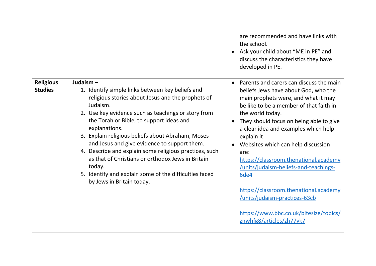|                                    |                                                                                                                                                                                                                                                                                                                                                                                                                                                                                                                                                                           | are recommended and have links with<br>the school.<br>• Ask your child about "ME in PE" and<br>discuss the characteristics they have<br>developed in PE.                                                                                                                                                                                                                                                                       |
|------------------------------------|---------------------------------------------------------------------------------------------------------------------------------------------------------------------------------------------------------------------------------------------------------------------------------------------------------------------------------------------------------------------------------------------------------------------------------------------------------------------------------------------------------------------------------------------------------------------------|--------------------------------------------------------------------------------------------------------------------------------------------------------------------------------------------------------------------------------------------------------------------------------------------------------------------------------------------------------------------------------------------------------------------------------|
| <b>Religious</b><br><b>Studies</b> | Judaism $-$<br>1. Identify simple links between key beliefs and<br>religious stories about Jesus and the prophets of<br>Judaism.<br>2. Use key evidence such as teachings or story from<br>the Torah or Bible, to support ideas and<br>explanations.<br>3. Explain religious beliefs about Abraham, Moses<br>and Jesus and give evidence to support them.<br>4. Describe and explain some religious practices, such<br>as that of Christians or orthodox Jews in Britain<br>today.<br>5. Identify and explain some of the difficulties faced<br>by Jews in Britain today. | Parents and carers can discuss the main<br>beliefs Jews have about God, who the<br>main prophets were, and what it may<br>be like to be a member of that faith in<br>the world today.<br>They should focus on being able to give<br>a clear idea and examples which help<br>explain it<br>Websites which can help discussion<br>are:<br>https://classroom.thenational.academy<br>/units/judaism-beliefs-and-teachings-<br>6de4 |
|                                    |                                                                                                                                                                                                                                                                                                                                                                                                                                                                                                                                                                           | https://classroom.thenational.academy<br>/units/judaism-practices-63cb<br>https://www.bbc.co.uk/bitesize/topics/<br>znwhfg8/articles/zh77vk7                                                                                                                                                                                                                                                                                   |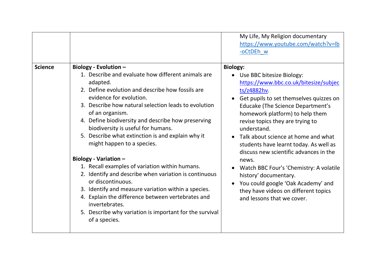|                |                                                                                                                                                                                                                                                                                                                                                                                                                                                                                                                                                                                                                                                                                                                                                                                                     | My Life, My Religion documentary<br>https://www.youtube.com/watch?v=lb<br>-oCtDEh w                                                                                                                                                                                                                                                                                                                                                                                                                                                                                                                                |
|----------------|-----------------------------------------------------------------------------------------------------------------------------------------------------------------------------------------------------------------------------------------------------------------------------------------------------------------------------------------------------------------------------------------------------------------------------------------------------------------------------------------------------------------------------------------------------------------------------------------------------------------------------------------------------------------------------------------------------------------------------------------------------------------------------------------------------|--------------------------------------------------------------------------------------------------------------------------------------------------------------------------------------------------------------------------------------------------------------------------------------------------------------------------------------------------------------------------------------------------------------------------------------------------------------------------------------------------------------------------------------------------------------------------------------------------------------------|
| <b>Science</b> | Biology - Evolution -<br>1. Describe and evaluate how different animals are<br>adapted.<br>2. Define evolution and describe how fossils are<br>evidence for evolution.<br>3. Describe how natural selection leads to evolution<br>of an organism.<br>4. Define biodiversity and describe how preserving<br>biodiversity is useful for humans.<br>5. Describe what extinction is and explain why it<br>might happen to a species.<br>Biology - Variation -<br>1. Recall examples of variation within humans.<br>2. Identify and describe when variation is continuous<br>or discontinuous.<br>3. Identify and measure variation within a species.<br>4. Explain the difference between vertebrates and<br>invertebrates.<br>5. Describe why variation is important for the survival<br>of a species. | <b>Biology:</b><br>Use BBC bitesize Biology:<br>$\bullet$<br>https://www.bbc.co.uk/bitesize/subjec<br>ts/z4882hv.<br>Get pupils to set themselves quizzes on<br><b>Educake (The Science Department's</b><br>homework platform) to help them<br>revise topics they are trying to<br>understand.<br>Talk about science at home and what<br>students have learnt today. As well as<br>discuss new scientific advances in the<br>news.<br>Watch BBC Four's 'Chemistry: A volatile<br>history' documentary.<br>You could google 'Oak Academy' and<br>they have videos on different topics<br>and lessons that we cover. |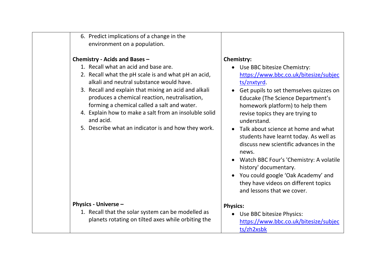| 6. Predict implications of a change in the<br>environment on a population.                                                                                                                                                                                                                                                                                                                                                                                    |                                                                                                                                                                                                                                                                                                                                                                                                                                                                                                                                                                                                                   |
|---------------------------------------------------------------------------------------------------------------------------------------------------------------------------------------------------------------------------------------------------------------------------------------------------------------------------------------------------------------------------------------------------------------------------------------------------------------|-------------------------------------------------------------------------------------------------------------------------------------------------------------------------------------------------------------------------------------------------------------------------------------------------------------------------------------------------------------------------------------------------------------------------------------------------------------------------------------------------------------------------------------------------------------------------------------------------------------------|
| Chemistry - Acids and Bases -<br>1. Recall what an acid and base are.<br>2. Recall what the pH scale is and what pH an acid,<br>alkali and neutral substance would have.<br>3. Recall and explain that mixing an acid and alkali<br>produces a chemical reaction, neutralisation,<br>forming a chemical called a salt and water.<br>4. Explain how to make a salt from an insoluble solid<br>and acid.<br>5. Describe what an indicator is and how they work. | <b>Chemistry:</b><br>• Use BBC bitesize Chemistry:<br>https://www.bbc.co.uk/bitesize/subjec<br>ts/znxtyrd.<br>Get pupils to set themselves quizzes on<br><b>Educake (The Science Department's</b><br>homework platform) to help them<br>revise topics they are trying to<br>understand.<br>• Talk about science at home and what<br>students have learnt today. As well as<br>discuss new scientific advances in the<br>news.<br>• Watch BBC Four's 'Chemistry: A volatile<br>history' documentary.<br>• You could google 'Oak Academy' and<br>they have videos on different topics<br>and lessons that we cover. |
| <b>Physics - Universe -</b><br>1. Recall that the solar system can be modelled as<br>planets rotating on tilted axes while orbiting the                                                                                                                                                                                                                                                                                                                       | <b>Physics:</b><br>• Use BBC bitesize Physics:<br>https://www.bbc.co.uk/bitesize/subjec<br>ts/zh2xsbk                                                                                                                                                                                                                                                                                                                                                                                                                                                                                                             |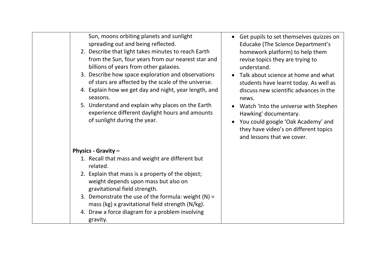| Sun, moons orbiting planets and sunlight<br>spreading out and being reflected.<br>2. Describe that light takes minutes to reach Earth<br>from the Sun, four years from our nearest star and<br>billions of years from other galaxies.<br>3. Describe how space exploration and observations<br>of stars are affected by the scale of the universe.<br>4. Explain how we get day and night, year length, and<br>seasons.<br>5. Understand and explain why places on the Earth<br>experience different daylight hours and amounts<br>of sunlight during the year. | Get pupils to set themselves quizzes on<br>$\bullet$<br><b>Educake (The Science Department's</b><br>homework platform) to help them<br>revise topics they are trying to<br>understand.<br>Talk about science at home and what<br>students have learnt today. As well as<br>discuss new scientific advances in the<br>news.<br>Watch 'Into the universe with Stephen<br>Hawking' documentary.<br>You could google 'Oak Academy' and<br>they have video's on different topics<br>and lessons that we cover. |
|-----------------------------------------------------------------------------------------------------------------------------------------------------------------------------------------------------------------------------------------------------------------------------------------------------------------------------------------------------------------------------------------------------------------------------------------------------------------------------------------------------------------------------------------------------------------|-----------------------------------------------------------------------------------------------------------------------------------------------------------------------------------------------------------------------------------------------------------------------------------------------------------------------------------------------------------------------------------------------------------------------------------------------------------------------------------------------------------|
| <b>Physics - Gravity -</b>                                                                                                                                                                                                                                                                                                                                                                                                                                                                                                                                      |                                                                                                                                                                                                                                                                                                                                                                                                                                                                                                           |
| 1. Recall that mass and weight are different but<br>related.                                                                                                                                                                                                                                                                                                                                                                                                                                                                                                    |                                                                                                                                                                                                                                                                                                                                                                                                                                                                                                           |
| 2. Explain that mass is a property of the object;<br>weight depends upon mass but also on<br>gravitational field strength.                                                                                                                                                                                                                                                                                                                                                                                                                                      |                                                                                                                                                                                                                                                                                                                                                                                                                                                                                                           |
| 3. Demonstrate the use of the formula: weight $(N)$ =<br>mass (kg) x gravitational field strength (N/kg).                                                                                                                                                                                                                                                                                                                                                                                                                                                       |                                                                                                                                                                                                                                                                                                                                                                                                                                                                                                           |
| 4. Draw a force diagram for a problem involving<br>gravity.                                                                                                                                                                                                                                                                                                                                                                                                                                                                                                     |                                                                                                                                                                                                                                                                                                                                                                                                                                                                                                           |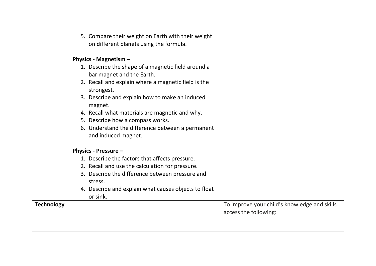| on different planets using the formula.<br><b>Physics - Magnetism -</b><br>1. Describe the shape of a magnetic field around a<br>bar magnet and the Earth.<br>2. Recall and explain where a magnetic field is the<br>strongest.<br>3. Describe and explain how to make an induced<br>magnet.<br>4. Recall what materials are magnetic and why.<br>5. Describe how a compass works.<br>6. Understand the difference between a permanent<br>and induced magnet.<br><b>Physics - Pressure -</b><br>1. Describe the factors that affects pressure.<br>2. Recall and use the calculation for pressure.<br>3. Describe the difference between pressure and<br>stress.<br>4. Describe and explain what causes objects to float<br>or sink.<br><b>Technology</b><br>To improve your child's knowledge and skills<br>access the following: |                                                    |  |
|-----------------------------------------------------------------------------------------------------------------------------------------------------------------------------------------------------------------------------------------------------------------------------------------------------------------------------------------------------------------------------------------------------------------------------------------------------------------------------------------------------------------------------------------------------------------------------------------------------------------------------------------------------------------------------------------------------------------------------------------------------------------------------------------------------------------------------------|----------------------------------------------------|--|
|                                                                                                                                                                                                                                                                                                                                                                                                                                                                                                                                                                                                                                                                                                                                                                                                                                   | 5. Compare their weight on Earth with their weight |  |
|                                                                                                                                                                                                                                                                                                                                                                                                                                                                                                                                                                                                                                                                                                                                                                                                                                   |                                                    |  |
|                                                                                                                                                                                                                                                                                                                                                                                                                                                                                                                                                                                                                                                                                                                                                                                                                                   |                                                    |  |
|                                                                                                                                                                                                                                                                                                                                                                                                                                                                                                                                                                                                                                                                                                                                                                                                                                   |                                                    |  |
|                                                                                                                                                                                                                                                                                                                                                                                                                                                                                                                                                                                                                                                                                                                                                                                                                                   |                                                    |  |
|                                                                                                                                                                                                                                                                                                                                                                                                                                                                                                                                                                                                                                                                                                                                                                                                                                   |                                                    |  |
|                                                                                                                                                                                                                                                                                                                                                                                                                                                                                                                                                                                                                                                                                                                                                                                                                                   |                                                    |  |
|                                                                                                                                                                                                                                                                                                                                                                                                                                                                                                                                                                                                                                                                                                                                                                                                                                   |                                                    |  |
|                                                                                                                                                                                                                                                                                                                                                                                                                                                                                                                                                                                                                                                                                                                                                                                                                                   |                                                    |  |
|                                                                                                                                                                                                                                                                                                                                                                                                                                                                                                                                                                                                                                                                                                                                                                                                                                   |                                                    |  |
|                                                                                                                                                                                                                                                                                                                                                                                                                                                                                                                                                                                                                                                                                                                                                                                                                                   |                                                    |  |
|                                                                                                                                                                                                                                                                                                                                                                                                                                                                                                                                                                                                                                                                                                                                                                                                                                   |                                                    |  |
|                                                                                                                                                                                                                                                                                                                                                                                                                                                                                                                                                                                                                                                                                                                                                                                                                                   |                                                    |  |
|                                                                                                                                                                                                                                                                                                                                                                                                                                                                                                                                                                                                                                                                                                                                                                                                                                   |                                                    |  |
|                                                                                                                                                                                                                                                                                                                                                                                                                                                                                                                                                                                                                                                                                                                                                                                                                                   |                                                    |  |
|                                                                                                                                                                                                                                                                                                                                                                                                                                                                                                                                                                                                                                                                                                                                                                                                                                   |                                                    |  |
|                                                                                                                                                                                                                                                                                                                                                                                                                                                                                                                                                                                                                                                                                                                                                                                                                                   |                                                    |  |
|                                                                                                                                                                                                                                                                                                                                                                                                                                                                                                                                                                                                                                                                                                                                                                                                                                   |                                                    |  |
|                                                                                                                                                                                                                                                                                                                                                                                                                                                                                                                                                                                                                                                                                                                                                                                                                                   |                                                    |  |
|                                                                                                                                                                                                                                                                                                                                                                                                                                                                                                                                                                                                                                                                                                                                                                                                                                   |                                                    |  |
|                                                                                                                                                                                                                                                                                                                                                                                                                                                                                                                                                                                                                                                                                                                                                                                                                                   |                                                    |  |
|                                                                                                                                                                                                                                                                                                                                                                                                                                                                                                                                                                                                                                                                                                                                                                                                                                   |                                                    |  |
|                                                                                                                                                                                                                                                                                                                                                                                                                                                                                                                                                                                                                                                                                                                                                                                                                                   |                                                    |  |
|                                                                                                                                                                                                                                                                                                                                                                                                                                                                                                                                                                                                                                                                                                                                                                                                                                   |                                                    |  |
|                                                                                                                                                                                                                                                                                                                                                                                                                                                                                                                                                                                                                                                                                                                                                                                                                                   |                                                    |  |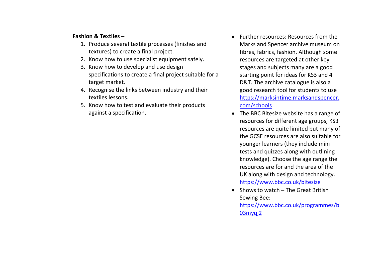| <b>Fashion &amp; Textiles -</b>                         | <b>Further res</b> |
|---------------------------------------------------------|--------------------|
| 1. Produce several textile processes (finishes and      | Marks and          |
| textures) to create a final project.                    | fibres, fabri      |
| 2. Know how to use specialist equipment safely.         | resources a        |
| 3. Know how to develop and use design                   | stages and         |
| specifications to create a final project suitable for a | starting poi       |
| target market.                                          | D&T. The a         |
| 4. Recognise the links between industry and their       | good resea         |
| textiles lessons.                                       | https://mai        |
| 5. Know how to test and evaluate their products         | com/schoo          |
| against a specification.                                | The BBC Bit        |
|                                                         | resources f        |
|                                                         | resources a        |
|                                                         | the GCSE re        |
|                                                         | younger lea        |
|                                                         | tests and q        |
|                                                         | knowledge          |
|                                                         | resources a        |
|                                                         | UK along w         |
|                                                         | https://ww         |
|                                                         | Shows to w         |
|                                                         | <b>Sewing Bee</b>  |
|                                                         | https://ww         |
|                                                         | 03mygi2            |
|                                                         |                    |
|                                                         |                    |

- ources: Resources from the Spencer archive museum on ics, fashion. Although some are targeted at other key subjects many are a good int for ideas for KS3 and 4 rchive catalogue is also a rch tool for students to use rksintime.marksandspencer.  $\mathsf{ls}$
- tesize website has a range of or different age groups, KS3 are quite limited but many of esources are also suitable for arners (they include mini uizzes along with outlining ). Choose the age range the are for and the area of the ith design and technology. w.bbc.co.uk/bitesize
- vatch The Great British Sewing Bee:

w.bbc.co.uk/programmes/b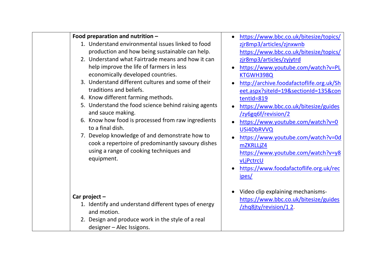| Food preparation and nutrition -                                                             | https://www.bbc.co.uk/bitesize/topics/   |
|----------------------------------------------------------------------------------------------|------------------------------------------|
| 1. Understand environmental issues linked to food                                            | zjr8mp3/articles/zjnxwnb                 |
| production and how being sustainable can help.                                               | https://www.bbc.co.uk/bitesize/topics/   |
| 2. Understand what Fairtrade means and how it can                                            | zjr8mp3/articles/zyjytrd                 |
| help improve the life of farmers in less                                                     | https://www.youtube.com/watch?v=PL       |
| economically developed countries.                                                            | KTGWH398Q                                |
| 3. Understand different cultures and some of their                                           | http://archive.foodafactoflife.org.uk/Sh |
| traditions and beliefs.                                                                      | eet.aspx?siteId=19&sectionId=135&con     |
| 4. Know different farming methods.                                                           | tentId=819                               |
| 5. Understand the food science behind raising agents                                         | https://www.bbc.co.uk/bitesize/guides    |
| and sauce making.                                                                            | /zy6gq6f/revision/2                      |
| 6. Know how food is processed from raw ingredients<br>to a final dish.                       | https://www.youtube.com/watch?v=0        |
|                                                                                              | USi4DbRVVQ                               |
| 7. Develop knowledge of and demonstrate how to                                               | https://www.youtube.com/watch?v=0d       |
| cook a repertoire of predominantly savoury dishes<br>using a range of cooking techniques and | mZKRLLjZ4                                |
| equipment.                                                                                   | https://www.youtube.com/watch?v=y8       |
|                                                                                              | vLjPctrcU                                |
|                                                                                              | https://www.foodafactoflife.org.uk/rec   |
|                                                                                              | <u>ipes/</u>                             |
|                                                                                              | Video clip explaining mechanisms-        |
| Car project $-$                                                                              | https://www.bbc.co.uk/bitesize/guides    |
| 1. Identify and understand different types of energy<br>and motion.                          | /zhq8jty/revision/12.                    |
| 2. Design and produce work in the style of a real                                            |                                          |
| designer - Alec Issigons.                                                                    |                                          |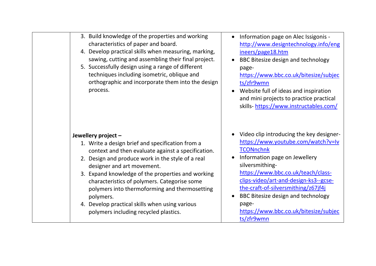| 3. Build knowledge of the properties and working<br>characteristics of paper and board.<br>4. Develop practical skills when measuring, marking,<br>sawing, cutting and assembling their final project.<br>5. Successfully design using a range of different<br>techniques including isometric, oblique and<br>orthographic and incorporate them into the design<br>process.                                                                                                    | Information page on Alec Issigonis -<br>http://www.designtechnology.info/eng<br>ineers/page18.htm<br>BBC Bitesize design and technology<br>page-<br>https://www.bbc.co.uk/bitesize/subjec<br>ts/zfr9wmn<br>Website full of ideas and inspiration<br>and mini projects to practice practical<br>skills-https://www.instructables.com/                                               |
|--------------------------------------------------------------------------------------------------------------------------------------------------------------------------------------------------------------------------------------------------------------------------------------------------------------------------------------------------------------------------------------------------------------------------------------------------------------------------------|------------------------------------------------------------------------------------------------------------------------------------------------------------------------------------------------------------------------------------------------------------------------------------------------------------------------------------------------------------------------------------|
| Jewellery project -<br>1. Write a design brief and specification from a<br>context and then evaluate against a specification.<br>2. Design and produce work in the style of a real<br>designer and art movement.<br>3. Expand knowledge of the properties and working<br>characteristics of polymers. Categorise some<br>polymers into thermoforming and thermosetting<br>polymers.<br>4. Develop practical skills when using various<br>polymers including recycled plastics. | Video clip introducing the key designer-<br>https://www.youtube.com/watch?v=lv<br><b>TCONnchnk</b><br>Information page on Jewellery<br>silversmithing-<br>https://www.bbc.co.uk/teach/class-<br>clips-video/art-and-design-ks3--gcse-<br>the-craft-of-silversmithing/z67jf4j<br>BBC Bitesize design and technology<br>page-<br>https://www.bbc.co.uk/bitesize/subjec<br>ts/zfr9wmn |